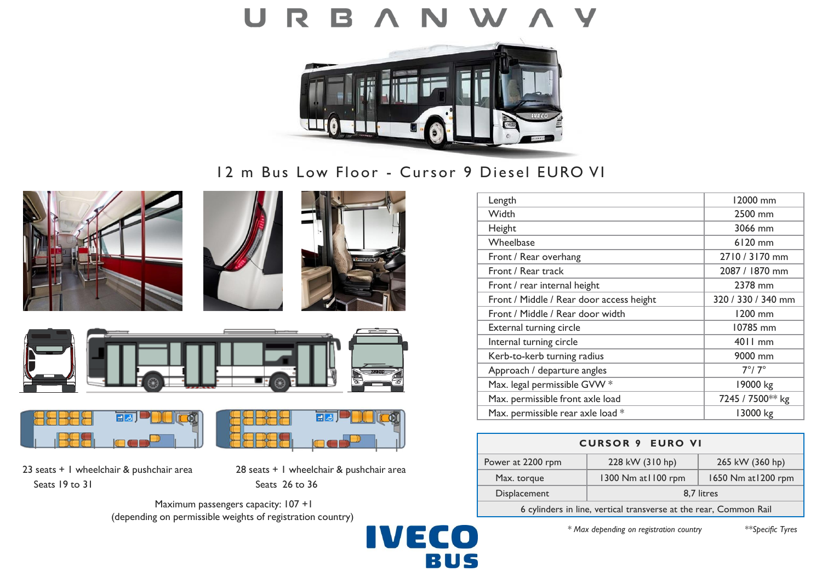

12 m Bus Low Floor - Cursor 9 Diesel EURO VI











23 seats + 1 wheelchair & pushchair area 28 seats + 1 wheelchair & pushchair area Seats 19 to 31 Seats 26 to 36

Maximum passengers capacity: 107 +1 (depending on permissible weights of registration country)



| Length                                   | 12000 mm           |
|------------------------------------------|--------------------|
| Width                                    | 2500 mm            |
| Height                                   | 3066 mm            |
| Wheelbase                                | 6120 mm            |
| Front / Rear overhang                    | 2710 / 3170 mm     |
| Front / Rear track                       | 2087 / 1870 mm     |
| Front / rear internal height             | 2378 mm            |
| Front / Middle / Rear door access height | 320 / 330 / 340 mm |
| Front / Middle / Rear door width         | 1200 mm            |
| External turning circle                  | 10785 mm           |
| Internal turning circle                  | 4011 mm            |
| Kerb-to-kerb turning radius              | 9000 mm            |
| Approach / departure angles              | $7^\circ/7^\circ$  |
| Max. legal permissible GVW *             | 19000 kg           |
| Max. permissible front axle load         | 7245 / 7500** kg   |
| Max. permissible rear axle load *        | 13000 kg           |

| <b>CURSOR 9 EURO VI</b>                                           |                    |                     |  |
|-------------------------------------------------------------------|--------------------|---------------------|--|
| Power at 2200 rpm                                                 | 228 kW (310 hp)    | 265 kW (360 hp)     |  |
| Max. torque                                                       | 1300 Nm at 100 rpm | 1650 Nm at 1200 rpm |  |
| Displacement                                                      | 8.7 litres         |                     |  |
| 6 cylinders in line, vertical transverse at the rear, Common Rail |                    |                     |  |

*\* Max depending on registration country \*\*Specific Tyres*